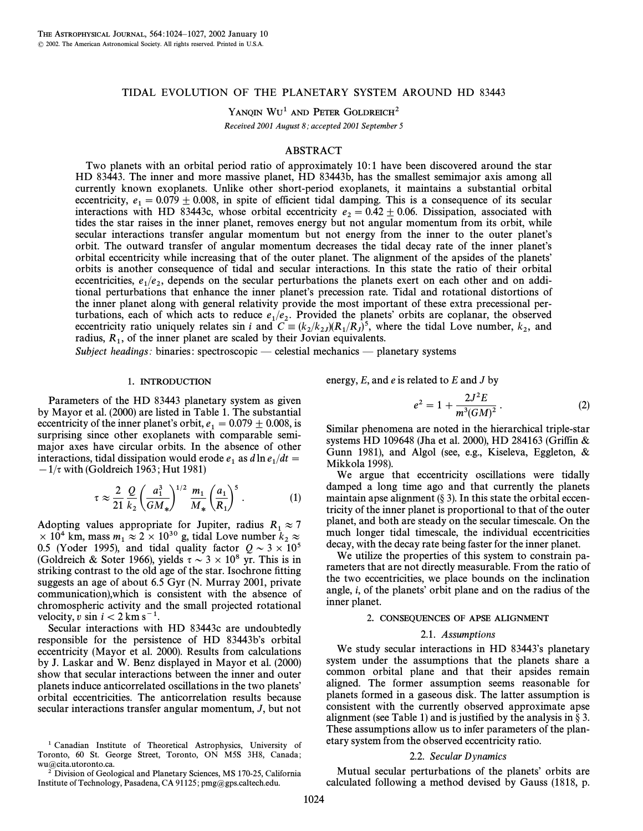# TIDAL EVOLUTION OF THE PLANETARY SYSTEM AROUND HD 83443

YANQIN WU<sup>1</sup> AND PETER GOLDREICH<sup>2</sup>

Received 2001 August 8; accepted 2001 September 5

## ABSTRACT

Two planets with an orbital period ratio of approximately 10: 1 have been discovered around the star HD 83443. The inner and more massive planet, HD 83443b, has the smallest semimajor axis among all currently known exoplanets. Unlike other short-period exoplanets, it maintains a substantial orbital eccentricity,  $e_1 = 0.079 \pm 0.008$ , in spite of efficient tidal damping. This is a consequence of its secular expressions with HD 834430, whose orbital eccentricity  $e_1 = 0.42 \pm 0.06$ . Dissipation, associated with interactions with HD 83443c, whose orbital eccentricity  $e_2 = 0.42 \pm 0.06$ . Dissipation, associated with tides the star raises in the inner planet removes energy but not angular momentum from its orbit, while tides the star raises in the inner planet, removes energy but not angular momentum from its orbit, while secular interactions transfer angular momentum but not energy from the inner to the outer planet's orbit. The outward transfer of angular momentum decreases the tidal decay rate of the inner planet's orbital eccentricity while increasing that of the outer planet. The alignment of the apsides of the planets' orbits is another consequence of tidal and secular interactions. In this state the ratio of their orbital eccentricities,  $e_1/e_2$ , depends on the secular perturbations the planets exert on each other and on addiexecutions,  $t_1/t_2$ , depends on the security perturbations the planets exert on each other and on additional perturbations that enhance the inner planet's precession rate. Tidal and rotational distortions of the inner planet along with general relativity provide the most important of these extra precessional perturbations, each of which acts to reduce  $e_1/e_2$ . Provided the planets' orbits are coplanar, the observed eccentricity ratio uniquely relates sin i and  $C = (k/k)(R/R)^5$  where the tidal Love number k and eccentricity ratio uniquely relates sin *i* and  $C = (k_2 / k_2) (R_1 / R_J)^5$ , where the tidal Love number,  $k_2$ , and radius  $R_1$  of the inner planet are scaled by their Jovian equivalents radius,  $R_1$ , of the inner planet are scaled by their Jovian equivalents.

Subject headings: binaries: spectroscopic — celestial mechanics — planetary systems

### 1. INTRODUCTION

Parameters of the HD 83443 planetary system as given by Mayor et al. (2000) are listed in Table 1. The substantial eccentricity of the inner planet's orbit,  $e_1 = 0.079 \pm 0.008$ , is<br>surprising since other excolanges with comparable semisurprising since other exoplanets with comparable semimajor axes have circular orbits. In the absence of other interactions, tidal dissipation would erode  $e_1$  as  $d\ln e_1/dt =$ <br>-1/x with (Goldreich 1963: Hut 1981)  $(1/\tau)$  with (Goldreich 1963; Hut 1981)

$$
\tau \approx \frac{2}{21} \frac{Q}{k_2} \left(\frac{a_1^3}{GM_*}\right)^{1/2} \frac{m_1}{M_*} \left(\frac{a_1}{R_1}\right)^5.
$$
 (1)

Adopting values appropriate for Jupiter, radius  $R_1 \approx 7 \times 10^4$  km mass  $m \approx 2 \times 10^{30}$  g tidal I over number  $k \approx 7$  $\times 10^4$  km, mass  $m_1 \approx 2 \times 10^{30}$  g, tidal Love number  $k_2 \approx 0.5$  (Voder 1005) and tidal quality factor  $Q \approx 3 \times 10^5$ 0.5 (Yoder 1995), and tidal quality factor  $Q \sim 3 \times 10^5$ (Goldreich & Soter 1966), yields  $\tau \sim 3 \times 10^8$  yr. This is in striking contrast to the old age of the star. Isochrone fitting suggests an age of about 6.5 Gyr (N. Murray 2001, private communication),which is consistent with the absence of chromospheric activity and the small projected rotational velocity, v sin  $i < 2$  km s<sup>-1</sup>.

Secular interactions with HD 83443c are undoubtedly responsible for the persistence of HD 83443b's orbital eccentricity (Mayor et al. 2000). Results from calculations by J. Laskar and W. Benz displayed in Mayor et al. (2000) show that secular interactions between the inner and outer planets induce anticorrelated oscillations in the two planets' orbital eccentricities. The anticorrelation results because secular interactions transfer angular momentum, J, but not

1 Canadian Institute of Theoretical Astrophysics, University of Toronto, 60 St. George Street, Toronto, ON M5S 3H8, Canada ; wu@cita.utoronto.ca.

<sup>2</sup> Division of Geological and Planetary Sciences, MS 170-25, California Institute of Technology, Pasadena, CA 91125; pmg@gps.caltech.edu.

energy,  $E$ , and  $e$  is related to  $E$  and  $J$  by

$$
e^2 = 1 + \frac{2J^2E}{m^3(GM)^2} \,. \tag{2}
$$

Similar phenomena are noted in the hierarchical triple-star systems HD 109648 (Jha et al. 2000), HD 284163 (Griffin & Gunn 1981), and Algol (see, e.g., Kiseleva, Eggleton, & Mikkola 1998).

We argue that eccentricity oscillations were tidally damped a long time ago and that currently the planets maintain apse alignment  $(\S 3)$ . In this state the orbital eccentricity of the inner planet is proportional to that of the outer planet, and both are steady on the secular timescale. On the much longer tidal timescale, the individual eccentricities decay, with the decay rate being faster for the inner planet.

We utilize the properties of this system to constrain parameters that are not directly measurable. From the ratio of the two eccentricities, we place bounds on the inclination angle,  $i$ , of the planets' orbit plane and on the radius of the inner planet.

# 2. CONSEQUENCES OF APSE ALIGNMENT

# 2.1. Assumptions

We study secular interactions in HD 83443's planetary system under the assumptions that the planets share a common orbital plane and that their apsides remain aligned. The former assumption seems reasonable for planets formed in a gaseous disk. The latter assumption is consistent with the currently observed approximate apse alignment (see Table 1) and is justified by the analysis in  $\S 3$ . These assumptions allow us to infer parameters of the planetary system from the observed eccentricity ratio.

## 2.2. Secular Dynamics

Mutual secular perturbations of the planets' orbits are calculated following a method devised by Gauss (1818, p.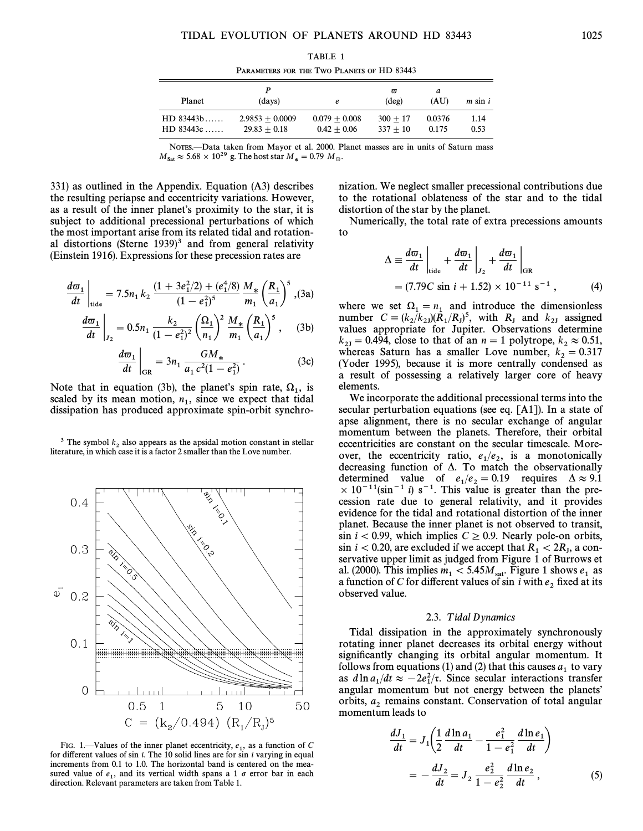PARAMETERS FOR THE TWO PLANETS OF HD 83443

| Planet         | (days)            | e               | $\varpi$<br>$(\text{deg})$ | а<br>(AU) | $m \sin i$ |
|----------------|-------------------|-----------------|----------------------------|-----------|------------|
| $HD$ 83443b    | $2.9853 + 0.0009$ | $0.079 + 0.008$ | $300 + 17$                 | 0.0376    | 1.14       |
| $HD$ 83443 $c$ | $29.83 + 0.18$    | $0.42 + 0.06$   | $337 + 10$                 | 0.175     | 0.53       |

NOTES.—Data taken from Mayor et al. 2000. Planet masses are in units of Saturn mass  $M_{\rm Sat} \approx 5.68 \times 10^{29}$  g. The host star  $M_{*} = 0.79$   $M_{\odot}.$ 

331) as outlined in the Appendix. Equation (A3) describes the resulting periapse and eccentricity variations. However, as a result of the inner planet's proximity to the star, it is subject to additional precessional perturbations of which the most important arise from its related tidal and rotational distortions (Sterne  $1939$ )<sup>3</sup> and from general relativity (Einstein 1916). Expressions for these precession rates are

$$
\frac{d\varpi_1}{dt}\bigg|_{\text{tide}} = 7.5n_1 k_2 \, \frac{(1 + 3e_1^2/2) + (e_1^4/8)}{(1 - e_1^2)^5} \, \frac{M_*}{m_1} \left(\frac{R_1}{a_1}\right)^5 \, , \text{(3a)}
$$

$$
\frac{d\varpi_1}{dt}\bigg|_{J_2} = 0.5n_1 \frac{k_2}{(1 - e_1^2)^2} \left(\frac{\Omega_1}{n_1}\right)^2 \frac{M_*}{m_1} \left(\frac{R_1}{a_1}\right)^5, \quad (3b)
$$

$$
\frac{d\varpi_1}{dt}\Big|_{GR} = 3n_1 \frac{GM_*}{a_1 c^2 (1 - e_1^2)}.
$$
 (3c)

Note that in equation (3b), the planet's spin rate,  $\Omega_1$ , is scaled by its mean motion *n* since we expect that tidal scaled by its mean motion,  $n_1$ , since we expect that tidal dissipation has produced approximate spin-orbit synchro-

<sup>3</sup> The symbol  $k_2$  also appears as the apsidal motion constant in stellar <sup>2</sup> literature, in which case it is a factor 2 smaller than the Love number.



FIG. 1.—Values of the inner planet eccentricity,  $e_1$ , as a function of C different values of  $\sin i$ . The 10 solid lines are for  $\sin i$  varying in equal for different values of sin  $i$ . The 10 solid lines are for sin  $i$  varying in equal increments from 0.1 to 1.0. The horizontal band is centered on the measured value of  $e_1$ , and its vertical width spans a 1  $\sigma$  error bar in each direction Relevant parameters are taken from Table 1 direction. Relevant parameters are taken from Table 1.

nization. We neglect smaller precessional contributions due to the rotational oblateness of the star and to the tidal distortion of the star by the planet.

Numerically, the total rate of extra precessions amounts to

$$
\Delta = \frac{d\varpi_1}{dt}\bigg|_{\text{tide}} + \frac{d\varpi_1}{dt}\bigg|_{J_2} + \frac{d\varpi_1}{dt}\bigg|_{\text{GR}}
$$
  
= (7.79C sin i + 1.52) × 10<sup>-11</sup> s<sup>-1</sup>, (4)

where we set  $\Omega_1 = n_1$  and introduce the dimensionless where we set  $s_1/k_1/R_1$  and introduce the dimensionless<br>number C =  $(k_2/k_2)/(R_1/R_1)$ , with  $R_1$  and  $k_2$  assigned values appropriate for Jupiter. Observations determine  $k_{2J} = 0.494$ , close to that of an  $n = 1$  polytrope,  $k_2 \approx 0.51$ , whereas Saturn has a smaller I over number  $k_1 = 0.317$ whereas Saturn has a smaller Love number,  $k_2 = 0.317$ <br>(Voder 1995), because it is more centrally condensed as (Yoder 1995), because it is more centrally condensed as a result of possessing a relatively larger core of heavy elements.

We incorporate the additional precessional terms into the secular perturbation equations (see eq. [A1]). In a state of apse alignment, there is no secular exchange of angular momentum between the planets. Therefore, their orbital eccentricities are constant on the secular timescale. Moreover, the eccentricity ratio,  $e_1/e_2$ , is a monotonically decreasing function of  $\Delta$ . To match the observationally determined value of  $e_1/e_2 = 0.19$  requires  $\Delta \approx 9.1$ <br> $\times 10^{-11}$ (sin<sup>-1</sup> i) s<sup>-1</sup>. This value is greater than the pre- $\times$  10<sup>-11</sup>(sin<sup>-1</sup> i) s<sup>-1</sup>. This value is greater than the precession rate due to general relativity, and it provides evidence for the tidal and rotational distortion of the inner planet. Because the inner planet is not observed to transit, sin  $i < 0.99$ , which implies  $C \geq 0.9$ . Nearly pole-on orbits,  $s$  in  $i < 0.20$ , are excluded if we accept that  $R_1 < 2R_J$ , a con-<br>servative upper limit as judged from Figure 1 of Burrows et servative upper limit as judged from Figure 1 of Burrows et al. (2000). This implies  $m_1 < 5.45M_{\text{sat}}$ . Figure 1 shows  $e_1$  as a function of C for different values of sin i with  $e_2$  fixed at its  $\alpha$  ranceled value.

### 2.3. Tidal Dynamics

Tidal dissipation in the approximately synchronously rotating inner planet decreases its orbital energy without significantly changing its orbital angular momentum. It follows from equations (1) and (2) that this causes  $a_1$  to vary as  $d \ln a_1/dt \approx -2e_1^2/\tau$ . Since secular interactions transfer  $\lim_{t \to \infty} \frac{1}{t} \frac{1}{t} \approx 2t_1 t$ . Since securit interactions transfer orbits,  $a_2$  remains constant. Conservation of total angular momentum leads to

$$
\frac{dJ_1}{dt} = J_1 \left( \frac{1}{2} \frac{d \ln a_1}{dt} - \frac{e_1^2}{1 - e_1^2} \frac{d \ln e_1}{dt} \right)
$$

$$
= -\frac{dJ_2}{dt} = J_2 \frac{e_2^2}{1 - e_2^2} \frac{d \ln e_2}{dt}, \qquad (5)
$$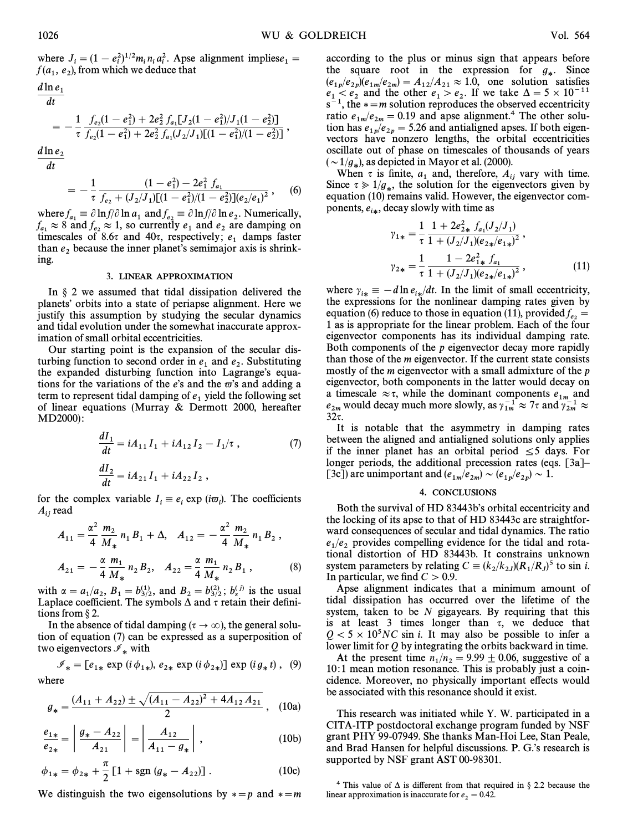where  $J_i = (1 - e_i^2)^{1/2} m_i n_i a_i^2$ . Apse alignment impliese<sub>1</sub> =  $f(a_1, e_2)$ , from which we deduce that

$$
\frac{d\ln e_1}{dt} = -\frac{1}{\tau} \frac{f_{e_2}(1-e_1^2) + 2e_2^2 f_{a_1}[J_2(1-e_1^2)/J_1(1-e_2^2)]}{f_{e_2}(1-e_1^2) + 2e_2^2 f_{a_1}(J_2/J_1)[(1-e_1^2)/(1-e_2^2)]},
$$
\n
$$
\frac{d\ln e_1}{dt} = -\frac{1}{\tau} \frac{f_{e_2}(1-e_1^2) + 2e_2^2 f_{a_1}(J_2/J_1)[(1-e_1^2)/(1-e_2^2)]}{f_{e_2}(1-e_1^2) + 2e_2^2 f_{a_1}(J_2/J_1)[(1-e_1^2)/(1-e_2^2)]},
$$

d ln e  $\overline{dt}$ 

$$
= -\frac{1}{\tau} \frac{(1-e_1^2) - 2e_1^2 f_{a_1}}{f_{e_2} + (J_2/J_1)[(1-e_1^2)/(1-e_2^2)](e_2/e_1)^2}, \quad (6)
$$

where  $f_{a_1} \equiv \partial \ln f / \partial \ln a_1$  and  $f_{e_2} \equiv \partial \ln f / \partial \ln e_2$ . Numerically,<br> $f \approx 8$  and  $f \approx 1$  so currently e, and e, are damning on  $f_{a_1} \approx 8$  and  $f_{e_2} \approx 1$ , so currently  $e_1$  and  $e_2$  are damping on timescales of 8.6 $\tau$  and 40 $\tau$ , respectively;  $e_1$  damps faster than  $e_2$  because the inner planet's semimajor axis is shrinking.

### 3. LINEAR APPROXIMATION

In  $\S$  2 we assumed that tidal dissipation delivered the planets' orbits into a state of periapse alignment. Here we justify this assumption by studying the secular dynamics and tidal evolution under the somewhat inaccurate approximation of small orbital eccentricities.

Our starting point is the expansion of the secular disturbing function to second order in  $e_1$  and  $e_2$ . Substituting the expanded disturbing function into Lagrange's equal the expanded disturbing function into Lagrange's equations for the variations of the e's and the  $\varpi$ 's and adding a term to represent tidal damping of  $e_1$  yield the following set of linear equations (Murray  $&$  Dermott 2000, hereafter MD2000) :

$$
\frac{dI_1}{dt} = iA_{11}I_1 + iA_{12}I_2 - I_1/\tau ,
$$
\n(7)\n
$$
\frac{dI_2}{dt} = iA_{21}I_1 + iA_{22}I_2 ,
$$

for the complex variable  $I_i \equiv e_i \exp(i\varpi_i)$ . The coefficients  $\Lambda$  read  $A_{ij}$  read

$$
A_{11} = \frac{\alpha^2}{4} \frac{m_2}{M_*} n_1 B_1 + \Delta, \quad A_{12} = -\frac{\alpha^2}{4} \frac{m_2}{M_*} n_1 B_2 ,
$$
  

$$
A_{21} = -\frac{\alpha}{4} \frac{m_1}{M_*} n_2 B_2, \quad A_{22} = \frac{\alpha}{4} \frac{m_1}{M_*} n_2 B_1 ,
$$
 (8)

with  $\alpha = a_1/a_2$ ,  $B_1 = b_{3/2}^{(1)}$ , and  $B_2 = b_{3/2}^{(2)}$ ;  $b_s^{(j)}$  is the usual Laplace coefficient. The symbols A and r retain their defini-Laplace coefficient. The symbols  $\Delta$  and  $\tau$  retain their definitions from  $\S 2$ .

In the absence of tidal damping ( $\tau \to \infty$ ), the general solution of equation (7) can be expressed as a superposition of two eigenvectors  $\mathscr{I}_*$  with

$$
\mathcal{I}_{*} = [e_{1*} \exp(i \phi_{1*}), e_{2*} \exp(i \phi_{2*})] \exp(i g_* t), (9)
$$
  
where

$$
g_* = \frac{(A_{11} + A_{22}) \pm \sqrt{(A_{11} - A_{22})^2 + 4A_{12}A_{21}}}{2},
$$
 (10a)

$$
\frac{e_{1*}}{e_{2*}} = \left| \frac{g_* - A_{22}}{A_{21}} \right| = \left| \frac{A_{12}}{A_{11} - g_*} \right|,
$$
\n(10b)

$$
\phi_{1*} = \phi_{2*} + \frac{\pi}{2} \left[ 1 + \text{sgn} \left( g_* - A_{22} \right) \right]. \tag{10c}
$$

We distinguish the two eigensolutions by  $\ast = p$  and  $\ast = m$ 

according to the plus or minus sign that appears before the square root in the expression for  $g_*$ . Since  $(e_{1p}/e_{2p})(e_{1m}/e_{2m}) = A_{12}/A_{21} \approx 1.0$ , one solution satisfies<br> $e_{1p}/e_{2p}$  and the other  $e_{1p}/e_{2p}$ . If we take  $A = 5 \times 10^{-11}$  $e_1 < e_2$  and the other  $e_1 > e_2$ . If we take  $\Delta = 5 \times 10^{-11}$ <br> $e^{-1}$  the  $x = m$  solution reproduces the observed eccentricity  $s^{-1}$ , the  $\ast = m$  solution reproduces the observed eccentricity ratio  $e_{1m}/e_{2m} = 0.19$  and apse alignment.<sup>4</sup> The other solution has  $e_{1m}/e_{2m} = 5.26$  and antialized apses. If both eigention has  $e_{1p}/e_{2p} = 5.26$  and antialigned apses. If both eigenvectors have nonzero lengths, the orbital eccentricities oscillate out of phase on timescales of thousands of years  $(\sim 1/g_*)$ , as depicted in Mayor et al. (2000).<br>When  $\tau$  is finite a and therefore 4.

When  $\tau$  is finite,  $a_1$  and, therefore,  $A_{ij}$  vary with time. Since  $\tau \gg 1/g_*$ , the solution for the eigenvectors given by equation (10) remains valid. However, the eigenvector components,  $e_{i*}$ , decay slowly with time as

$$
\gamma_{1*} = \frac{1}{\tau} \frac{1 + 2e_{2*}^2 f_{a_1}(J_2/J_1)}{1 + (J_2/J_1)(e_{2*}/e_{1*})^2},
$$
  

$$
\gamma_{2*} = \frac{1}{\tau} \frac{1 - 2e_{1*}^2 f_{a_1}}{1 + (J_2/J_1)(e_{2*}/e_{1*})^2},
$$
 (11)

where  $\gamma_{i*} \equiv -d \ln e_{i*}/dt$ . In the limit of small eccentricity, the expressions for the nonlinear damning rates given by where  $\gamma_{i*} = u \ln \frac{u_{i*}}{u_{i*}}$  and  $\lim_{i \to \infty} \frac{u_{i*}}{u_{i*}}$  and  $\lim_{i \to \infty} \frac{u_{i*}}{u_{i*}}$  and  $\lim_{i \to \infty} \frac{u_{i*}}{u_{i*}}$  and  $\lim_{i \to \infty} \frac{u_{i*}}{u_{i*}}$  and  $\lim_{i \to \infty} \frac{u_{i*}}{u_{i*}}$  and  $\lim_{i \to \infty} \frac{u_{i*}}{u_{i*}}$  ar equation (6) reduce to those in equation (11), provided  $f_e$  =  $\frac{1}{2}$  as is appropriate for the linear problem. Each of the four eigenvector components has its individual damping rate. Both components of the p eigenvector decay more rapidly than those of the m eigenvector. If the current state consists mostly of the *m* eigenvector with a small admixture of the *p* eigenvector, both components in the latter would decay on a timescale  $\approx \tau$ , while the dominant components  $e_{1m}$  and a university  $\epsilon$ , while the dominant complements  $\epsilon_{1m}$  and  $\epsilon_{2m}$  would decay much more slowly, as  $\gamma_{1m}^{-1} \approx 7\tau$  and  $\gamma_{2m}^{-1} \approx$  $32\tau$ .

It is notable that the asymmetry in damping rates between the aligned and antialigned solutions only applies if the inner planet has an orbital period  $\leq 5$  days. For longer periods, the additional precession rates (eqs.  $[3a]$ – [3c]) are unimportant and  $(e_{1m}/e_{2m}) \sim (e_{1p}/e_{2p}) \sim 1$ .

## 4. CONCLUSIONS

Both the survival of HD 83443b's orbital eccentricity and the locking of its apse to that of HD 83443c are straightforward consequences of secular and tidal dynamics. The ratio  $e_1/e_2$  provides compelling evidence for the tidal and rota-<br>tional distortion of HD 83443b, It constrains unknown tional distortion of HD 83443b. It constrains unknown system parameters by relating  $C \equiv (k_2/k_{2J})(R_1/R_J)^5$  to sin *i*.<br>In particular, we find  $C > 0.9$ In particular, we find  $C > 0.9$ .

Apse alignment indicates that a minimum amount of tidal dissipation has occurred over the lifetime of the system, taken to be  $N$  gigayears. By requiring that this is at least 3 times longer than  $\tau$ , we deduce that  $Q < 5 \times 10^5$  NC sin i. It may also be possible to infer a lower limit for Q by integrating the orbits backward in time.

At the present time  $n_1/n_2 = 9.99 \pm 0.06$ , suggestive of a negative of a negative probably just a coin-10:1 mean motion resonance. This is probably just a coincidence. Moreover, no physically important effects would be associated with this resonance should it exist.

This research was initiated while Y. W. participated in a CITA-ITP postdoctoral exchange program funded by NSF grant PHY 99-07949. She thanks Man-Hoi Lee, Stan Peale, and Brad Hansen for helpful discussions. P. G.'s research is supported by NSF grant AST 00-98301.

<sup>4</sup> This value of  $\Delta$  is different from that required in § 2.2 because the linear approximation is inaccurate for  $e_2 = 0.42$ .